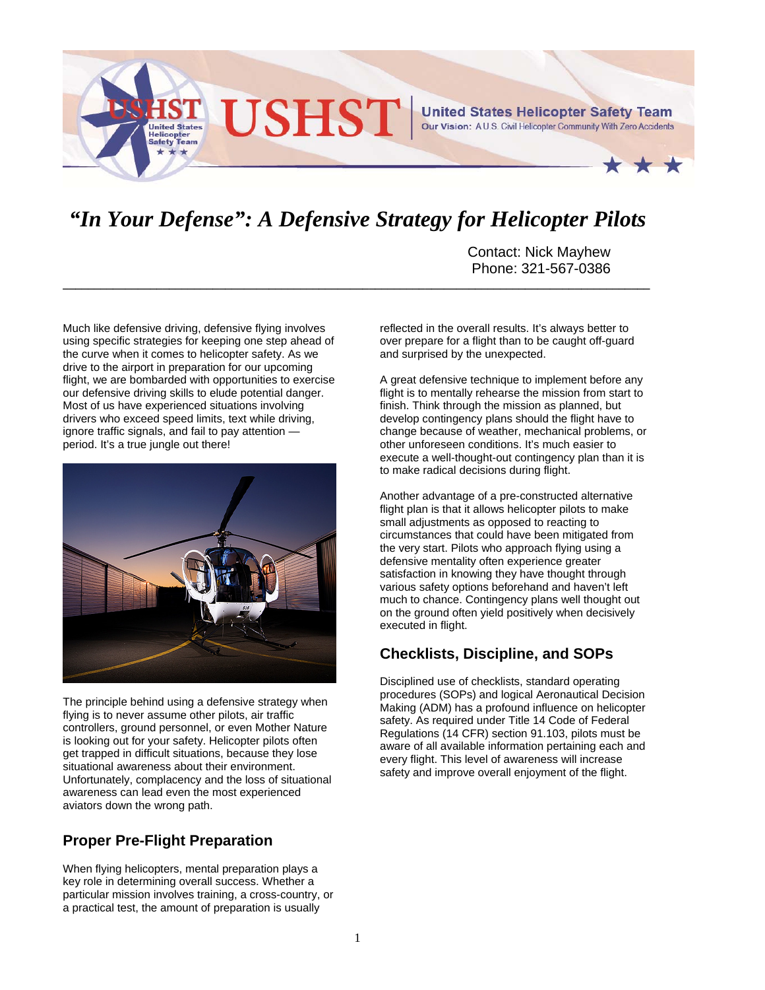

# *"In Your Defense": A Defensive Strategy for Helicopter Pilots*

**\_\_\_\_\_\_\_\_\_\_\_\_\_\_\_\_\_\_\_\_\_\_\_\_\_\_\_\_\_\_\_\_\_\_\_\_\_\_\_\_\_\_\_\_\_\_\_\_\_\_\_\_\_\_\_\_\_\_\_\_\_\_\_\_\_\_\_\_\_\_\_\_\_\_\_\_\_\_\_\_\_\_\_\_\_\_\_\_\_\_\_\_\_\_**

Contact: Nick Mayhew Phone: 321-567-0386

Much like defensive driving, defensive flying involves using specific strategies for keeping one step ahead of the curve when it comes to helicopter safety. As we drive to the airport in preparation for our upcoming flight, we are bombarded with opportunities to exercise our defensive driving skills to elude potential danger. Most of us have experienced situations involving drivers who exceed speed limits, text while driving, ignore traffic signals, and fail to pay attention period. It's a true jungle out there!



The principle behind using a defensive strategy when flying is to never assume other pilots, air traffic controllers, ground personnel, or even Mother Nature is looking out for your safety. Helicopter pilots often get trapped in difficult situations, because they lose situational awareness about their environment. Unfortunately, complacency and the loss of situational awareness can lead even the most experienced aviators down the wrong path.

## **Proper Pre-Flight Preparation**

When flying helicopters, mental preparation plays a key role in determining overall success. Whether a particular mission involves training, a cross-country, or a practical test, the amount of preparation is usually

reflected in the overall results. It's always better to over prepare for a flight than to be caught off-guard and surprised by the unexpected.

A great defensive technique to implement before any flight is to mentally rehearse the mission from start to finish. Think through the mission as planned, but develop contingency plans should the flight have to change because of weather, mechanical problems, or other unforeseen conditions. It's much easier to execute a well-thought-out contingency plan than it is to make radical decisions during flight.

Another advantage of a pre-constructed alternative flight plan is that it allows helicopter pilots to make small adjustments as opposed to reacting to circumstances that could have been mitigated from the very start. Pilots who approach flying using a defensive mentality often experience greater satisfaction in knowing they have thought through various safety options beforehand and haven't left much to chance. Contingency plans well thought out on the ground often yield positively when decisively executed in flight.

## **Checklists, Discipline, and SOPs**

Disciplined use of checklists, standard operating procedures (SOPs) and logical Aeronautical Decision Making (ADM) has a profound influence on helicopter safety. As required under Title 14 Code of Federal Regulations (14 CFR) section 91.103, pilots must be aware of all available information pertaining each and every flight. This level of awareness will increase safety and improve overall enjoyment of the flight.